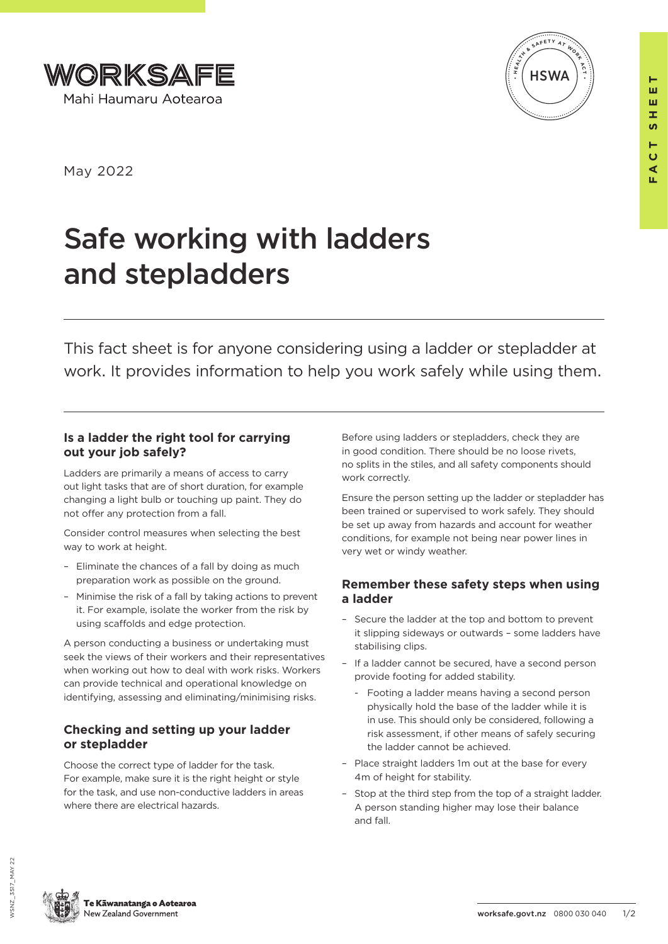



**FACT SHEET**

ш

ш œ <u>ທ</u> Е  $\overline{a}$  $\blacktriangleleft$ 

May 2022

# Safe working with ladders and stepladders

This fact sheet is for anyone considering using a ladder or stepladder at work. It provides information to help you work safely while using them.

#### **Is a ladder the right tool for carrying out your job safely?**

Ladders are primarily a means of access to carry out light tasks that are of short duration, for example changing a light bulb or touching up paint. They do not offer any protection from a fall.

Consider control measures when selecting the best way to work at height.

- Eliminate the chances of a fall by doing as much preparation work as possible on the ground.
- Minimise the risk of a fall by taking actions to prevent it. For example, isolate the worker from the risk by using scaffolds and edge protection.

A person conducting a business or undertaking must seek the views of their workers and their representatives when working out how to deal with work risks. Workers can provide technical and operational knowledge on identifying, assessing and eliminating/minimising risks.

### **Checking and setting up your ladder or stepladder**

Choose the correct type of ladder for the task. For example, make sure it is the right height or style for the task, and use non-conductive ladders in areas where there are electrical hazards.

Before using ladders or stepladders, check they are in good condition. There should be no loose rivets, no splits in the stiles, and all safety components should work correctly.

Ensure the person setting up the ladder or stepladder has been trained or supervised to work safely. They should be set up away from hazards and account for weather conditions, for example not being near power lines in very wet or windy weather.

## **Remember these safety steps when using a ladder**

- Secure the ladder at the top and bottom to prevent it slipping sideways or outwards – some ladders have stabilising clips.
- If a ladder cannot be secured, have a second person provide footing for added stability.
	- Footing a ladder means having a second person physically hold the base of the ladder while it is in use. This should only be considered, following a risk assessment, if other means of safely securing the ladder cannot be achieved.
- Place straight ladders 1m out at the base for every 4m of height for stability.
- Stop at the third step from the top of a straight ladder. A person standing higher may lose their balance and fall.